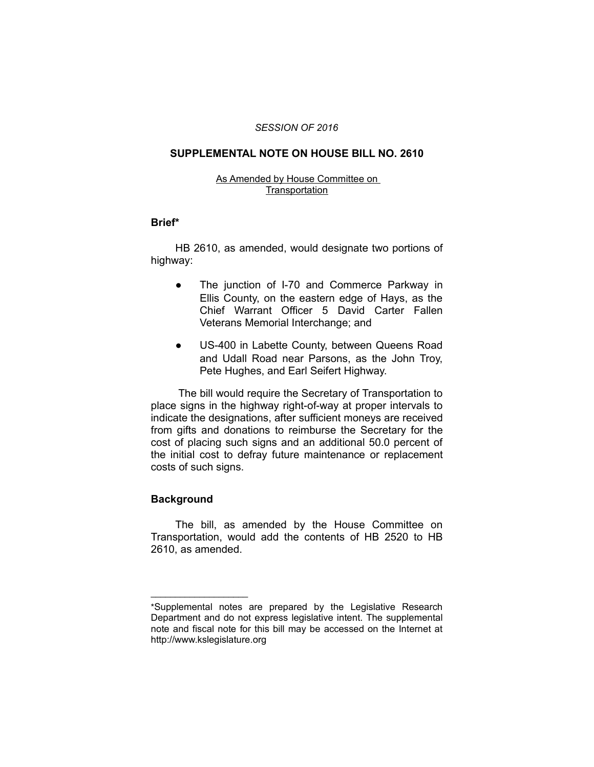### *SESSION OF 2016*

# **SUPPLEMENTAL NOTE ON HOUSE BILL NO. 2610**

### As Amended by House Committee on **Transportation**

### **Brief\***

HB 2610, as amended, would designate two portions of highway:

- The junction of I-70 and Commerce Parkway in Ellis County, on the eastern edge of Hays, as the Chief Warrant Officer 5 David Carter Fallen Veterans Memorial Interchange; and
- US-400 in Labette County, between Queens Road and Udall Road near Parsons, as the John Troy, Pete Hughes, and Earl Seifert Highway.

 The bill would require the Secretary of Transportation to place signs in the highway right-of-way at proper intervals to indicate the designations, after sufficient moneys are received from gifts and donations to reimburse the Secretary for the cost of placing such signs and an additional 50.0 percent of the initial cost to defray future maintenance or replacement costs of such signs.

## **Background**

 $\overline{\phantom{a}}$  , where  $\overline{\phantom{a}}$  , where  $\overline{\phantom{a}}$ 

The bill, as amended by the House Committee on Transportation, would add the contents of HB 2520 to HB 2610, as amended.

<sup>\*</sup>Supplemental notes are prepared by the Legislative Research Department and do not express legislative intent. The supplemental note and fiscal note for this bill may be accessed on the Internet at http://www.kslegislature.org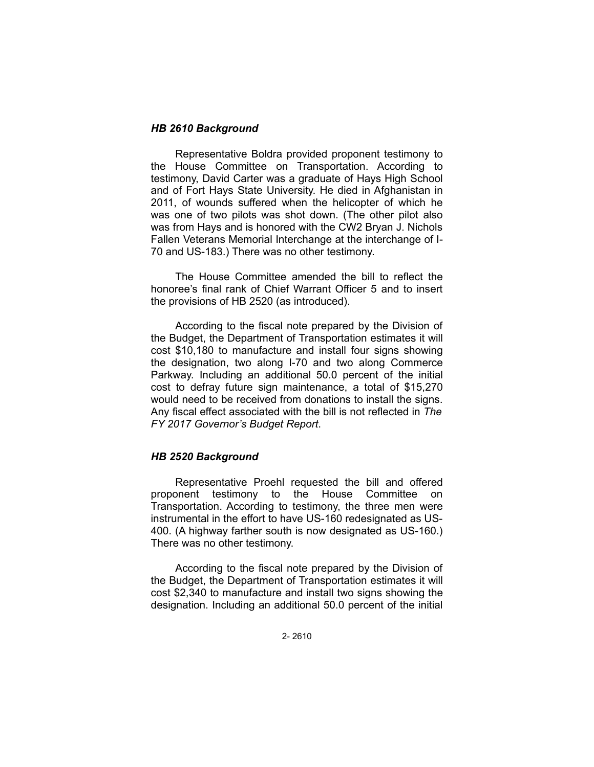# *HB 2610 Background*

Representative Boldra provided proponent testimony to the House Committee on Transportation. According to testimony, David Carter was a graduate of Hays High School and of Fort Hays State University. He died in Afghanistan in 2011, of wounds suffered when the helicopter of which he was one of two pilots was shot down. (The other pilot also was from Hays and is honored with the CW2 Bryan J. Nichols Fallen Veterans Memorial Interchange at the interchange of I-70 and US-183.) There was no other testimony.

The House Committee amended the bill to reflect the honoree's final rank of Chief Warrant Officer 5 and to insert the provisions of HB 2520 (as introduced).

According to the fiscal note prepared by the Division of the Budget, the Department of Transportation estimates it will cost \$10,180 to manufacture and install four signs showing the designation, two along I-70 and two along Commerce Parkway. Including an additional 50.0 percent of the initial cost to defray future sign maintenance, a total of \$15,270 would need to be received from donations to install the signs. Any fiscal effect associated with the bill is not reflected in *The FY 2017 Governor's Budget Report*.

## *HB 2520 Background*

Representative Proehl requested the bill and offered proponent testimony to the House Committee on Transportation. According to testimony, the three men were instrumental in the effort to have US-160 redesignated as US-400. (A highway farther south is now designated as US-160.) There was no other testimony.

According to the fiscal note prepared by the Division of the Budget, the Department of Transportation estimates it will cost \$2,340 to manufacture and install two signs showing the designation. Including an additional 50.0 percent of the initial